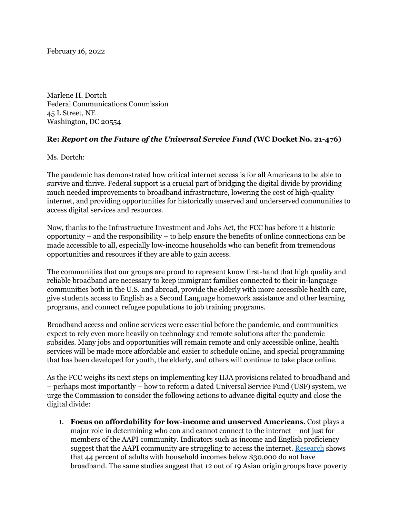February 16, 2022

Marlene H. Dortch Federal Communications Commission 45 L Street, NE Washington, DC 20554

# **Re:** *Report on the Future of the Universal Service Fund (***WC Docket No. 21-476)**

Ms. Dortch:

The pandemic has demonstrated how critical internet access is for all Americans to be able to survive and thrive. Federal support is a crucial part of bridging the digital divide by providing much needed improvements to broadband infrastructure, lowering the cost of high-quality internet, and providing opportunities for historically unserved and underserved communities to access digital services and resources.

Now, thanks to the Infrastructure Investment and Jobs Act, the FCC has before it a historic opportunity – and the responsibility – to help ensure the benefits of online connections can be made accessible to all, especially low-income households who can benefit from tremendous opportunities and resources if they are able to gain access.

The communities that our groups are proud to represent know first-hand that high quality and reliable broadband are necessary to keep immigrant families connected to their in-language communities both in the U.S. and abroad, provide the elderly with more accessible health care, give students access to English as a Second Language homework assistance and other learning programs, and connect refugee populations to job training programs.

Broadband access and online services were essential before the pandemic, and communities expect to rely even more heavily on technology and remote solutions after the pandemic subsides. Many jobs and opportunities will remain remote and only accessible online, health services will be made more affordable and easier to schedule online, and special programming that has been developed for youth, the elderly, and others will continue to take place online.

As the FCC weighs its next steps on implementing key IIJA provisions related to broadband and – perhaps most importantly – how to reform a dated Universal Service Fund (USF) system, we urge the Commission to consider the following actions to advance digital equity and close the digital divide:

1. **Focus on affordability for low-income and unserved Americans**. Cost plays a major role in determining who can and cannot connect to the internet – not just for members of the AAPI community. Indicators such as income and English proficiency suggest that the AAPI community are struggling to access the internet. Research shows that 44 percent of adults with household incomes below \$30,000 do not have broadband. The same studies suggest that 12 out of 19 Asian origin groups have poverty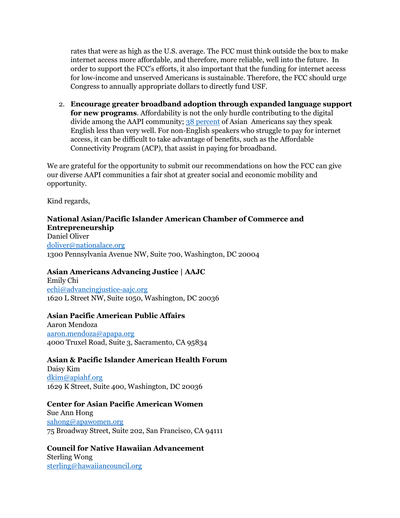rates that were as high as the U.S. average. The FCC must think outside the box to make internet access more affordable, and therefore, more reliable, well into the future. In order to support the FCC's efforts, it also important that the funding for internet access for low-income and unserved Americans is sustainable. Therefore, the FCC should urge Congress to annually appropriate dollars to directly fund USF.

2. **Encourage greater broadband adoption through expanded language support for new programs**. Affordability is not the only hurdle contributing to the digital divide among the AAPI community; 38 percent of Asian Americans say they speak English less than very well. For non-English speakers who struggle to pay for internet access, it can be difficult to take advantage of benefits, such as the Affordable Connectivity Program (ACP), that assist in paying for broadband.

We are grateful for the opportunity to submit our recommendations on how the FCC can give our diverse AAPI communities a fair shot at greater social and economic mobility and opportunity.

Kind regards,

# **National Asian/Pacific Islander American Chamber of Commerce and Entrepreneurship**

Daniel Oliver doliver@nationalace.org 1300 Pennsylvania Avenue NW, Suite 700, Washington, DC 20004

# **Asian Americans Advancing Justice | AAJC**

Emily Chi echi@advancingjustice-aajc.org 1620 L Street NW, Suite 1050, Washington, DC 20036

## **Asian Pacific American Public Affairs**

Aaron Mendoza aaron.mendoza@apapa.org 4000 Truxel Road, Suite 3, Sacramento, CA 95834

# **Asian & Pacific Islander American Health Forum**

Daisy Kim dkim@apiahf.org 1629 K Street, Suite 400, Washington, DC 20036

## **Center for Asian Pacific American Women**

Sue Ann Hong sahong@apawomen.org 75 Broadway Street, Suite 202, San Francisco, CA 94111

# **Council for Native Hawaiian Advancement** Sterling Wong

sterling@hawaiiancouncil.org